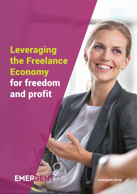**Leveraging** the Freelance **Economy** for freedom and profit



**emergent.co.nz**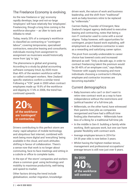# The Freelance Economy is evolving.

As the new freelance or 'gig' economy rapidly develops, large and not-so-large 'employers' will have relatively few 'employees'. Freelancing, though a long time coming is the workforce disruptor – as Uber to taxis and Alibaba to retail.

Today, nearly 20% of a company's workforce is classified as contracting or "contingent labour", covering temporaries, specialised contractors, executive leasing and consultants; individuals moving from assignment to assignment as musicians would historically move from 'gig' to 'gig.'

The phenomena is global and growing. According to a study by global accounting software company Intuit, by 2020 more than 40% of the western workforce will be so-called contingent workers. New Zealand specific statistics confirm a similar trend. Following a "Y2K" peak in 2000 when contract employees made up 19.9% of the workforce and dipping to 17.4% in 2006, the trend has continued upwards.



Drivers contributing to this perfect storm are many: rapid adoption of mobile technology and ubiquitous fast internet, combined with work being more digital and 'everything' being available in the cloud, and work attitudes shifting in favour of collaboration. There's a sense now that work is no longer about commuting, face-to-face meetings and sitting in a cubicle or office to complete tasks.

In the eye of 'the storm' companies and workers share a common goal: using technology and mobility to maximise productivity, well-being and speed-to-market.

Other factors driving the trend include globalisation, worker migration, knowledgedriven work, the nature of work and business leadership, and the shift from "traditional" work as baby-boomers retire to be replaced by "millennials."

Carmen Bailey, Founder of Emergent, New Zealand's largest agency dedicated to executive leasing and contracting, notes that being a non-IT contractor used to come with a social stigma. Today however, with opportunities for contingent, project-based work exploding, selfemployment as a freelance contractor is seen as a rewarding and satisfying career option.

The pivot from socially-undesirable to career choice has lowered costs and increased demand as well. "Only a decade ago, in order to contract freelancing talent the premium would be 30-40% of an employee cost," says Bailey. "However with supply increasing and more individuals choosing a contractor's lifestyle, employee and contractor incomes are becoming equitable."

# Current demographics

- Baby boomers who can't or don't want to retire view contract work as a way to have independence without the restrictions and 'political hassles' of a full-time job.
- Millennials, on the other hand, have witnessed their parents lose jobs as companies reorganised and have had a difficult time finding jobs themselves – Millennials have less of a liking for a traditional full-time job.
- In the middle is Gen-X: building a family while working. Both spouses work, but one can have greater flexibility with contract work.
- Average employee tenure in 2014 for 24-35 year olds is now below 3 years.
- Whilst having the highest median tenure, management and professional occupations' average tenure is still now just over 5 years.

**40% of the workforce will contract By 2020**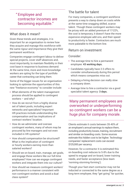# " Employee and contractor incomes are becoming equitable."

# What does it mean?

Given these trends and strategies, it is important for an organisation to review how they acquire and manage this workforce with the same rigour and importance they give their permanent workforce.

Companies engage contingent labour to deliver special projects, cover staff absences and, most importantly, to maintain flexibility in their cost base in response to business demand. At the same time, more and more knowledge workers are opting for the type of portfolio career that contracting can bring them.

Some of the bigger issues for an organisation looking to optimise the opportunities of this new "freelance economy" to consider include:

- What elements of the talent management process should be applied to contingent workers – and why?
- How do we recruit from a highly diverse set of talent pools, including expert networks and specialists? Important HR practices include understanding the compensation and tax implications of contract workers' location.
- How do we administer and oversee contingent workers, many of whom may be procured by line managers and not even included in HR systems?
- How should compensation be structured? What is the implication of contingent or hourly workers earning more than salaried workers?
- Should we on-board, train, manage, set goals, and engage these workers like our full-time employees? How can we engage contingent workers and integrate them into our culture?
- How should we measure contingent workers' performance in a manner consistent with non-contingent workers and avoid a dual class system?

# The battle for talent

For many companies, a contingent workforce presents a way to clamp down on costs while at the same time snagging skilled, scarce talent. Though these contingent workers may be pricey with an added premium of 17-22%, the cost is temporary, it doesn't have the more expensive employee add-ons, and their speed to productivity is faster. Contractors are much more palatable to the bottom line.

# Return on investment

#### Consider:

- The average time to hire a permanent employee: **43 working days.**
- Candidates typically have 2-3 offers to consider simultaneously during this period which means companies miss out.
- Delaying a hiring decision can really slow a company down.
- Average time to hire a contractor via a good specialist talent agency: **3 days.**

Many permanent employees are overworked or underperforming so contingent workers can be a huge plus for company morale.

Clients estimate it costs between 35-40% of an employee's annual earnings to replace them, including productivity losses, training, recruitment and similar on-boarding costs. Some sources estimate this hidden cost to be higher. Technology companies' replacement costs can exceed \$125,000 per vacancy.

However, for a contractor it is estimated this on-boarding cost reduces to 5-8% due to the speed to engage and on-board, lower training needs, and faster acceptance (less team 'norming-storming-forming').

Though your fast-start contractor may not be inducted or connected to the same degree as a long-term employee, they "get going" far quicker,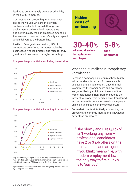leading to comparatively greater productivity in the first 6-12 months.

Contracting can attract higher or even over skilled individuals who are 'in between' contracts and able to smash through an assignment's deliverables in record time and better quality than an employee extending themselves to their next step. Quality and speed which delivers to the bottom line.

Lastly, in Emergent's estimation, 12% of contractors are offered permanent roles by businesses who legitimately find roles for truly great talent discovered through contracting.

#### Comparative productivity: excluding time-to-hire





#### Comparative productivity: including time-to-hire

Fig: Productivity comparisons: In the long run employees are more productive however considering work disruption and hiring activities Contractor ROI is greater in the first 18 months.

Hybrid model contractors are sourced by agency and contracted by comapany (see page 6).

# **costs of on-boarding**

**30-40% of annual salary to replace an employee**

**Hidden** 

**for a contractor 5-8%**

## What about intellectual/proprietary knowledge?

Perhaps a company only requires these highly valued workers for a specific project, such as developing an application. Once the task is complete, the worker costs and overheads are gone. Having anticipated the end of the worker relationship right from the outset, the intellectual property is nearly always transferred into structured form and retained as a legacy – unlike an unexpected employee departure!

Somewhat counter-intuitively, contracting can preserve and continue institutional knowledge better than employees.

"Hire Slowly and Fire Quickly" isn't working anymore – professional candidates have 2 or 3 job offers on the table at once and are gone if you blink; meanwhile, with modern employment laws the only way to fire quickly is to 'pay out'.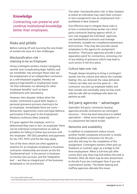# **Knowledge**

Contracting can preserve and continue institutional knowledge better than employees.

## Risks and pitfalls

Before rushing off and sourcing the new breed of workers be wary of a few challenges.

#### Misclassification risk – claiming to be an Employee

Hiring contingent workers means navigating several, ever-complicating legal, liability, and tax minefields. Key amongst these risks are the employment of an independent contractor as a self-employed supplier, thereby not paying fringe benefit or employment taxes for that individual, nor allowing for other 'employee benefits' such as leave entitlements and redundancy.

However, then disaster strikes when the worker, contracted in good faith, begins a personal grievance process claiming to be an employee. Immediately there are costs – distraction, opportunity costs and legal defence, particularly if this goes to the Employment Relations Authority (New Zealand).

If it goes against the employer, and it is determined they were in fact 'an employee' there can be individual compensations as well as penalties for failing to follow due process with the 'employee'. IRD (NZ) penalties and payments for tax, FBT, PAYE and the like may apply.

Two of the tests which are often applied to examine for an employer-employee or businesscontractor relationship are known as the the 'fundamental test': is the person in business on his/her own account, and the 'integration test' – are they an integral part of the business (employee) or not (contractor).

The other 'misclassification risk' in New Zealand is where an individual may claim their contract or term assignment was an employment trial – prohibited in New Zealand<sup>1</sup>.

One effective way to mitigate these risks is to hire a contractor/temp worker via a thirdparty contractor leasing agency which, in turn, has engaged the individual. Agencies use standardised contracts and manage timesheets, suitable tax compliance/awareness and invoices. They may also provide casual employees to the agency for assignment durations. Third party agencies provide a clear separation point for contractors, removing a lot of any feeling of grievance which may lead to such action in the first place.

#### Culture take-over risk

Though always tempting to bring a contingent worker into the culture and reduce the 'outsider feeling', this can diminish the value delivered. Culture can take over as time goes on  $-$  the contractor can pick up employee habits and their morale can eventually wane as they work side-by-side with an employee who does not perform as well.

### 3rd party agencies – advantages

Specialist 3rd party 'contractor leasing' agencies provide contractors as contingent resource – from top-level executives to skilled specialists – either arms-length suppliers or in a placement fee hybrid model.

#### Networks and availability

In addition to employment status issues, another hurdle companies encounter is simply finding qualified contractors for the job  $$ and who will stay for the completion of the assignment. Contingent workers often pick up freelance or contract 'gigs' as a bridge to fulltime employment. When a full-time job offer comes their way, they may bolt before the task is finished. After all, there may be less attachment to the job if you are contingent than if you are a permanent worker. The better leasing and staffing agencies alleviate this issue.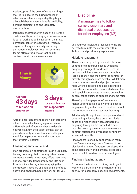Besides, part of the point of using contingent staff is to sidestep the hiring process of advertising, interviewing and getting buy-in: all established to ensure right-fit, credibility, genuine qualifications and ultimately risk reduction.

Internal recruitment often doesn't deliver the quality results, often bringing in someone who is out of work and will leave when their next permanent job offer eventuates. Typically organised for systematically recruiting permanent employees, internal recruitment teams often struggle to attract quality contractors at the necessary speed.



**Average 43 days to replace an employee**

**3 days for a contractor via a specialist agency**

A traditional recruitment agency isn't effective either – specialist leasing agencies are a different breed of agency. They are deeply networked, know their talent so they can be placed instantly, and work at incredible pace. A call for help comes in and the contractor starts within 24 hours!

#### Leasing agency value-add

If an organisation contracts through a 3rd party leasing company, that company takes care of contracts, weekly timesheets, offers insurance options, provides transparency and lifts cash flow (invoices the organisation/paying the contractor). These are all additional benefits to above and, should things not work out for you

# **Discipline**

A manager has to follow same disciplinary and dismissal processes as for other employees (NZ).

and your contractor, the task falls to the 3rd party to terminate the contractor within 24 hours and provide any replacement.

#### Hybrid engagement

There is also a hybrid option which is more common to bigger businesses with large on-going contingent workforces. Here the business will hire the contractor through a leasing agency, and then pays the contractor directly through accounts payable. Whilst more common for technical and project contract roles where a specific end date is identified, this is less common for open-ended executive and specialist contracts. It is also unusual for general office business support and temp roles.

These 'hybrid engagements' have much higher upfront costs, but lower total cost in engagements greater than 10 months – should the contract and contractor last that long.

Additionally, though the invoice price of direct contracting is lower, there are often hidden costs and higher risks when compared to engaging through a 3rd party. Extra care must be taken by the managers to ensure a contract relationship by treating contingent workers differently.

Finally, there is one key danger which many New Zealand managers aren't aware of: to dismiss their direct, fixed-term employee, the same disciplinary and dismissal processes have to be followed as for other employees.

#### Finding a leasing agency

Of course, the first step in hiring contingent workers is partnering with the right staffing agency for a company's specific requirements.

2 See www.business.govt.nz/staff-and-hr/hiring-an-employee/hiring-fixed-term-and-casual-employees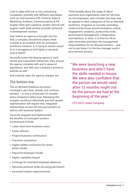Look to align with one or two contracting companies, possibly with different specialties such as core business (HR, Finance, Sales & Marketing, Analysts, Communications & PR, Supply Chain and Logistics), quality clerical and support staff while another provides technical IT/development workers.

Even before an agency is brought into the fold, a company should first assess what it needs to accomplish with its contingent workforce initiative. Is it trying to reduce costs? Or is it struggling to find highly in-demand, scarce talent?

Secondly review the leasing agency's track record and crosscheck references. Also, ensure the agency complies with and is aware of regulations, and with your company's business policies as well.

And evaluate rates the agency charges, too.

## The bottom line

The on-demand freelance economy – contingent, part-time, remote, and contract workers  $-$  is now a critical part of virtually every company's talent pool. Managing this complex workforce effectively and with greater sophistication will require new, integrated relationships across HR and procurement as well as with business leaders.

Correctly engaged and implemented, the benefits of contingent workers (contractors) include:

- Lower short-term business costs
- Faster delivery
- Project/business continuance
- Transition assistance
- Higher skilled contractors for faster, better results
- Improved employee morale
- Higher capability impact
- Coverage for extended employee absences
- Removes pressure while recruiting permanent
- Increased market responsiveness

Think broadly about the range of talent practices your organisation uses for full-time, on-roll employees, and consider how they may be applied to other categories of the on-demand workforce. Programs to consider extending could include those around workplace culture, engagement, analytics, productivity tools, performance management, collaboration, and retention. In short, it is time for HR to take ownership and share the management responsibilities for on-demand workers – and not to just leave it to the line manager and/or procurement division.

" We were launching a new business and didn't have the skills needed in house. We were also confident that the person we would need after 12 months might not be the person we had at the beginning of the year."

CFO NZX Listed Company